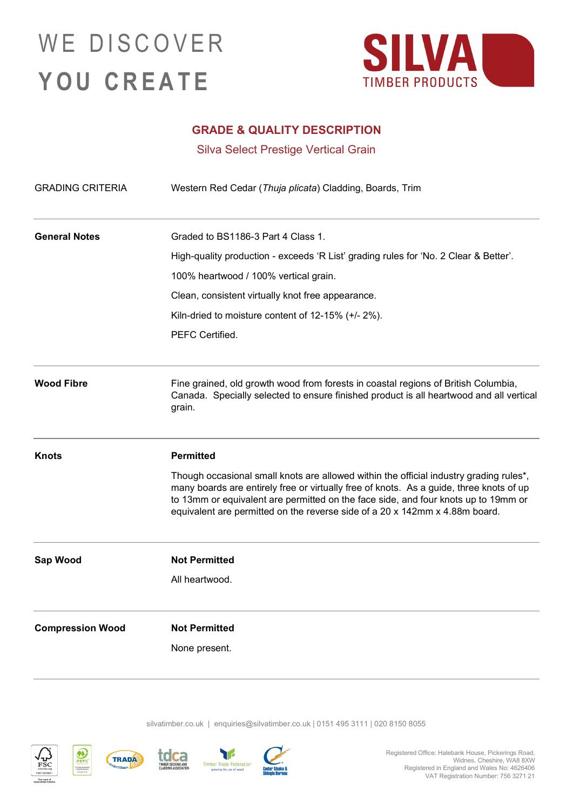### WE DISCOVER **YOU CREATE**



#### **GRADE & QUALITY DESCRIPTION**

Silva Select Prestige Vertical Grain

| <b>GRADING CRITERIA</b> | Western Red Cedar (Thuja plicata) Cladding, Boards, Trim                                                                                                                                                                                                                                                                                               |
|-------------------------|--------------------------------------------------------------------------------------------------------------------------------------------------------------------------------------------------------------------------------------------------------------------------------------------------------------------------------------------------------|
| <b>General Notes</b>    | Graded to BS1186-3 Part 4 Class 1.                                                                                                                                                                                                                                                                                                                     |
|                         | High-quality production - exceeds 'R List' grading rules for 'No. 2 Clear & Better'.                                                                                                                                                                                                                                                                   |
|                         | 100% heartwood / 100% vertical grain.                                                                                                                                                                                                                                                                                                                  |
|                         | Clean, consistent virtually knot free appearance.                                                                                                                                                                                                                                                                                                      |
|                         | Kiln-dried to moisture content of 12-15% (+/- 2%).                                                                                                                                                                                                                                                                                                     |
|                         | PEFC Certified.                                                                                                                                                                                                                                                                                                                                        |
| <b>Wood Fibre</b>       | Fine grained, old growth wood from forests in coastal regions of British Columbia,<br>Canada. Specially selected to ensure finished product is all heartwood and all vertical<br>grain.                                                                                                                                                                |
| <b>Knots</b>            | <b>Permitted</b>                                                                                                                                                                                                                                                                                                                                       |
|                         | Though occasional small knots are allowed within the official industry grading rules*,<br>many boards are entirely free or virtually free of knots. As a guide, three knots of up<br>to 13mm or equivalent are permitted on the face side, and four knots up to 19mm or<br>equivalent are permitted on the reverse side of a 20 x 142mm x 4.88m board. |
| Sap Wood                | <b>Not Permitted</b>                                                                                                                                                                                                                                                                                                                                   |
|                         | All heartwood.                                                                                                                                                                                                                                                                                                                                         |
| <b>Compression Wood</b> | <b>Not Permitted</b>                                                                                                                                                                                                                                                                                                                                   |
|                         | None present.                                                                                                                                                                                                                                                                                                                                          |

silvatimber.co.uk | [enquiries@silvatimber.co.uk](mailto:enquiries@silvatimber.co.uk) | 0151 495 3111 | 020 8150 8055









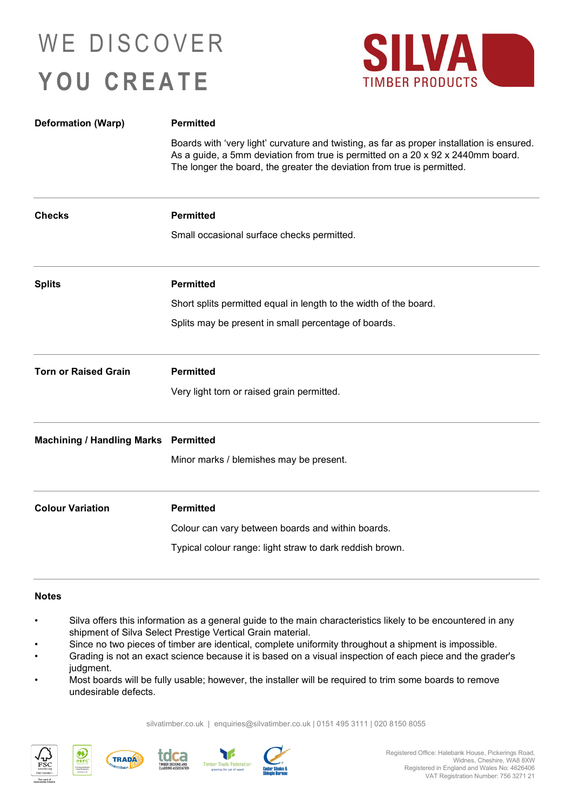## WE DISCOVER **YOU CREATE**



| <b>Deformation (Warp)</b>                   | <b>Permitted</b>                                                                                                                                                                                                                                         |
|---------------------------------------------|----------------------------------------------------------------------------------------------------------------------------------------------------------------------------------------------------------------------------------------------------------|
|                                             | Boards with 'very light' curvature and twisting, as far as proper installation is ensured.<br>As a guide, a 5mm deviation from true is permitted on a 20 x 92 x 2440mm board.<br>The longer the board, the greater the deviation from true is permitted. |
| <b>Checks</b>                               | <b>Permitted</b>                                                                                                                                                                                                                                         |
|                                             | Small occasional surface checks permitted.                                                                                                                                                                                                               |
| <b>Splits</b>                               | <b>Permitted</b>                                                                                                                                                                                                                                         |
|                                             | Short splits permitted equal in length to the width of the board.                                                                                                                                                                                        |
|                                             | Splits may be present in small percentage of boards.                                                                                                                                                                                                     |
| <b>Torn or Raised Grain</b>                 | <b>Permitted</b>                                                                                                                                                                                                                                         |
|                                             | Very light torn or raised grain permitted.                                                                                                                                                                                                               |
| <b>Machining / Handling Marks Permitted</b> |                                                                                                                                                                                                                                                          |
|                                             | Minor marks / blemishes may be present.                                                                                                                                                                                                                  |
| <b>Colour Variation</b>                     | <b>Permitted</b>                                                                                                                                                                                                                                         |
|                                             | Colour can vary between boards and within boards.                                                                                                                                                                                                        |
|                                             | Typical colour range: light straw to dark reddish brown.                                                                                                                                                                                                 |

#### **Notes**

- Silva offers this information as a general guide to the main characteristics likely to be encountered in any shipment of Silva Select Prestige Vertical Grain material.
- Since no two pieces of timber are identical, complete uniformity throughout a shipment is impossible.
- Grading is not an exact science because it is based on a visual inspection of each piece and the grader's judgment.
- Most boards will be fully usable; however, the installer will be required to trim some boards to remove undesirable defects.

silvatimber.co.uk | [enquiries@silvatimber.co.uk](mailto:enquiries@silvatimber.co.uk) | 0151 495 3111 | 020 8150 8055